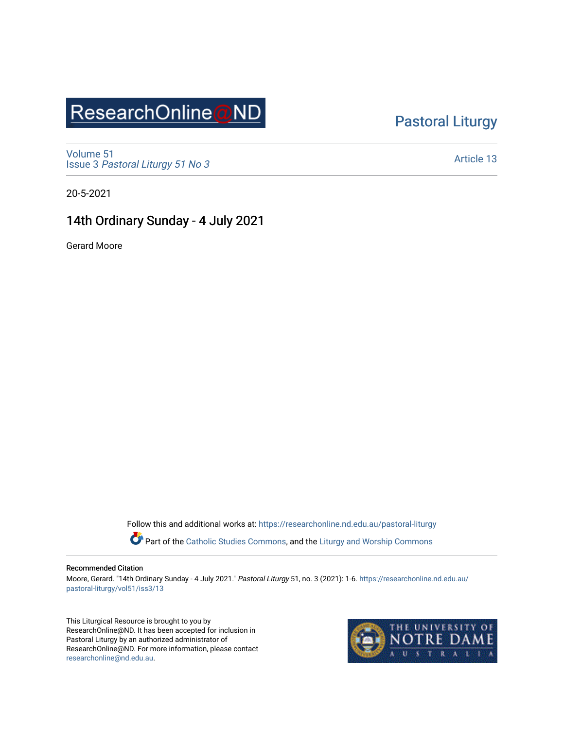## ResearchOnline@ND

### [Pastoral Liturgy](https://researchonline.nd.edu.au/pastoral-liturgy)

[Volume 51](https://researchonline.nd.edu.au/pastoral-liturgy/vol51) Issue 3 [Pastoral Liturgy 51 No 3](https://researchonline.nd.edu.au/pastoral-liturgy/vol51/iss3)

[Article 13](https://researchonline.nd.edu.au/pastoral-liturgy/vol51/iss3/13) 

20-5-2021

#### 14th Ordinary Sunday - 4 July 2021

Gerard Moore

Follow this and additional works at: [https://researchonline.nd.edu.au/pastoral-liturgy](https://researchonline.nd.edu.au/pastoral-liturgy?utm_source=researchonline.nd.edu.au%2Fpastoral-liturgy%2Fvol51%2Fiss3%2F13&utm_medium=PDF&utm_campaign=PDFCoverPages)

Part of the [Catholic Studies Commons,](http://network.bepress.com/hgg/discipline/1294?utm_source=researchonline.nd.edu.au%2Fpastoral-liturgy%2Fvol51%2Fiss3%2F13&utm_medium=PDF&utm_campaign=PDFCoverPages) and the Liturgy and Worship Commons

#### Recommended Citation

Moore, Gerard. "14th Ordinary Sunday - 4 July 2021." Pastoral Liturgy 51, no. 3 (2021): 1-6. [https://researchonline.nd.edu.au/](https://researchonline.nd.edu.au/pastoral-liturgy/vol51/iss3/13?utm_source=researchonline.nd.edu.au%2Fpastoral-liturgy%2Fvol51%2Fiss3%2F13&utm_medium=PDF&utm_campaign=PDFCoverPages) [pastoral-liturgy/vol51/iss3/13](https://researchonline.nd.edu.au/pastoral-liturgy/vol51/iss3/13?utm_source=researchonline.nd.edu.au%2Fpastoral-liturgy%2Fvol51%2Fiss3%2F13&utm_medium=PDF&utm_campaign=PDFCoverPages) 

This Liturgical Resource is brought to you by ResearchOnline@ND. It has been accepted for inclusion in Pastoral Liturgy by an authorized administrator of ResearchOnline@ND. For more information, please contact [researchonline@nd.edu.au.](mailto:researchonline@nd.edu.au)

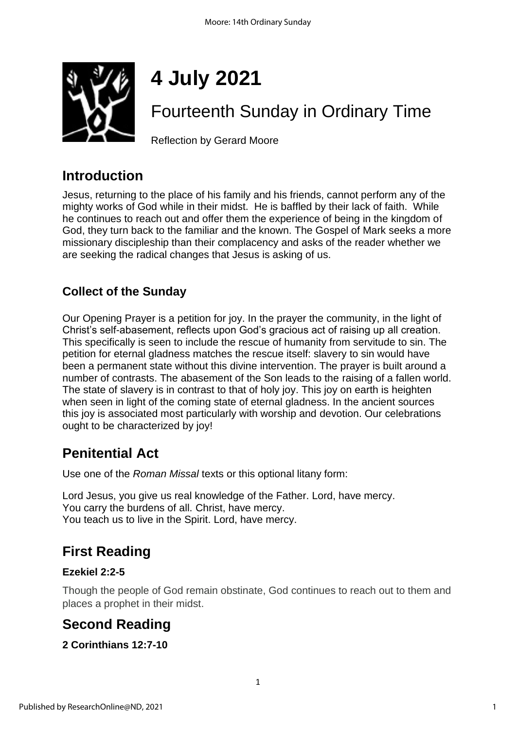

# **4 July 2021**

## Fourteenth Sunday in Ordinary Time

Reflection by Gerard Moore

## **Introduction**

Jesus, returning to the place of his family and his friends, cannot perform any of the mighty works of God while in their midst. He is baffled by their lack of faith. While he continues to reach out and offer them the experience of being in the kingdom of God, they turn back to the familiar and the known. The Gospel of Mark seeks a more missionary discipleship than their complacency and asks of the reader whether we are seeking the radical changes that Jesus is asking of us.

### **Collect of the Sunday**

Our Opening Prayer is a petition for joy. In the prayer the community, in the light of Christ's self-abasement, reflects upon God's gracious act of raising up all creation. This specifically is seen to include the rescue of humanity from servitude to sin. The petition for eternal gladness matches the rescue itself: slavery to sin would have been a permanent state without this divine intervention. The prayer is built around a number of contrasts. The abasement of the Son leads to the raising of a fallen world. The state of slavery is in contrast to that of holy joy. This joy on earth is heighten when seen in light of the coming state of eternal gladness. In the ancient sources this joy is associated most particularly with worship and devotion. Our celebrations ought to be characterized by joy!

## **Penitential Act**

Use one of the *Roman Missal* texts or this optional litany form:

Lord Jesus, you give us real knowledge of the Father. Lord, have mercy. You carry the burdens of all. Christ, have mercy. You teach us to live in the Spirit. Lord, have mercy.

## **First Reading**

#### **Ezekiel 2:2-5**

Though the people of God remain obstinate, God continues to reach out to them and places a prophet in their midst.

## **Second Reading**

#### **2 Corinthians 12:7-10**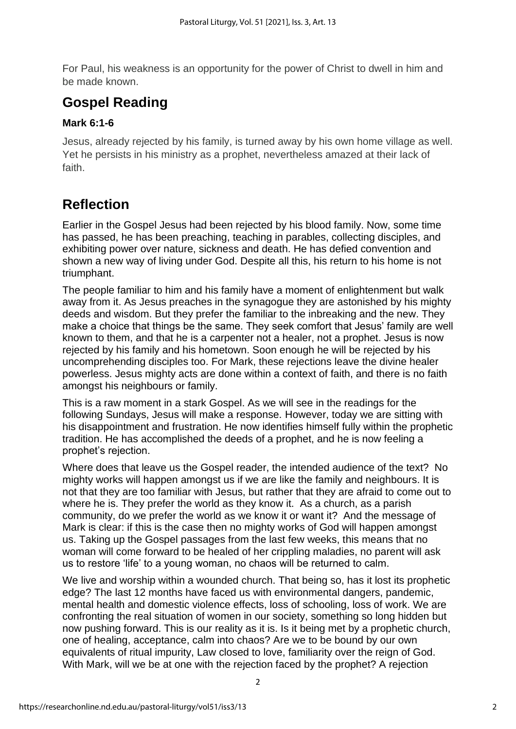For Paul, his weakness is an opportunity for the power of Christ to dwell in him and be made known.

## **Gospel Reading**

#### **Mark 6:1-6**

Jesus, already rejected by his family, is turned away by his own home village as well. Yet he persists in his ministry as a prophet, nevertheless amazed at their lack of faith.

## **Reflection**

Earlier in the Gospel Jesus had been rejected by his blood family. Now, some time has passed, he has been preaching, teaching in parables, collecting disciples, and exhibiting power over nature, sickness and death. He has defied convention and shown a new way of living under God. Despite all this, his return to his home is not triumphant.

The people familiar to him and his family have a moment of enlightenment but walk away from it. As Jesus preaches in the synagogue they are astonished by his mighty deeds and wisdom. But they prefer the familiar to the inbreaking and the new. They make a choice that things be the same. They seek comfort that Jesus' family are well known to them, and that he is a carpenter not a healer, not a prophet. Jesus is now rejected by his family and his hometown. Soon enough he will be rejected by his uncomprehending disciples too. For Mark, these rejections leave the divine healer powerless. Jesus mighty acts are done within a context of faith, and there is no faith amongst his neighbours or family.

This is a raw moment in a stark Gospel. As we will see in the readings for the following Sundays, Jesus will make a response. However, today we are sitting with his disappointment and frustration. He now identifies himself fully within the prophetic tradition. He has accomplished the deeds of a prophet, and he is now feeling a prophet's rejection.

Where does that leave us the Gospel reader, the intended audience of the text? No mighty works will happen amongst us if we are like the family and neighbours. It is not that they are too familiar with Jesus, but rather that they are afraid to come out to where he is. They prefer the world as they know it. As a church, as a parish community, do we prefer the world as we know it or want it? And the message of Mark is clear: if this is the case then no mighty works of God will happen amongst us. Taking up the Gospel passages from the last few weeks, this means that no woman will come forward to be healed of her crippling maladies, no parent will ask us to restore 'life' to a young woman, no chaos will be returned to calm.

We live and worship within a wounded church. That being so, has it lost its prophetic edge? The last 12 months have faced us with environmental dangers, pandemic, mental health and domestic violence effects, loss of schooling, loss of work. We are confronting the real situation of women in our society, something so long hidden but now pushing forward. This is our reality as it is. Is it being met by a prophetic church, one of healing, acceptance, calm into chaos? Are we to be bound by our own equivalents of ritual impurity, Law closed to love, familiarity over the reign of God. With Mark, will we be at one with the rejection faced by the prophet? A rejection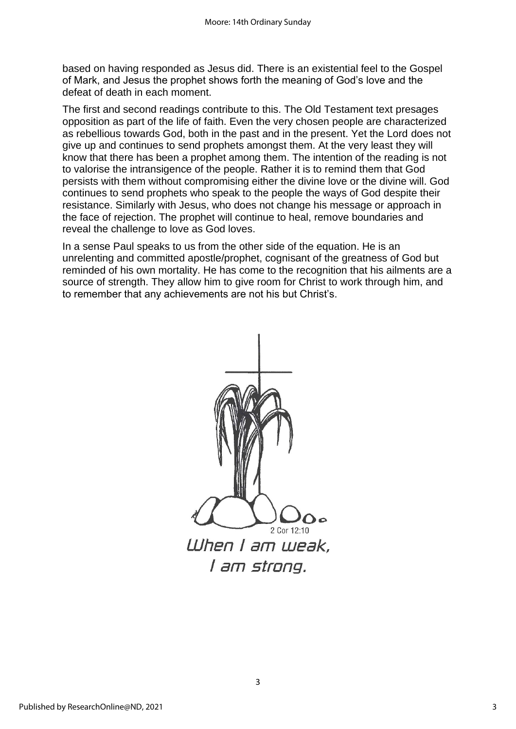based on having responded as Jesus did. There is an existential feel to the Gospel of Mark, and Jesus the prophet shows forth the meaning of God's love and the defeat of death in each moment.

The first and second readings contribute to this. The Old Testament text presages opposition as part of the life of faith. Even the very chosen people are characterized as rebellious towards God, both in the past and in the present. Yet the Lord does not give up and continues to send prophets amongst them. At the very least they will know that there has been a prophet among them. The intention of the reading is not to valorise the intransigence of the people. Rather it is to remind them that God persists with them without compromising either the divine love or the divine will. God continues to send prophets who speak to the people the ways of God despite their resistance. Similarly with Jesus, who does not change his message or approach in the face of rejection. The prophet will continue to heal, remove boundaries and reveal the challenge to love as God loves.

In a sense Paul speaks to us from the other side of the equation. He is an unrelenting and committed apostle/prophet, cognisant of the greatness of God but reminded of his own mortality. He has come to the recognition that his ailments are a source of strength. They allow him to give room for Christ to work through him, and to remember that any achievements are not his but Christ's.



3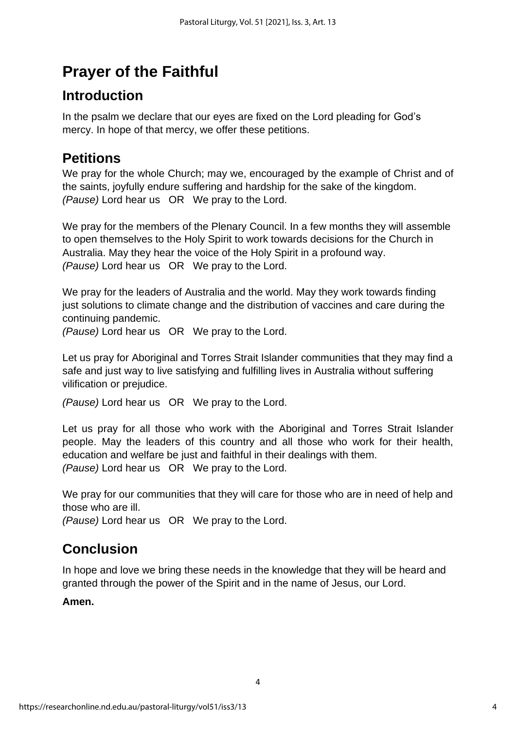## **Prayer of the Faithful**

## **Introduction**

In the psalm we declare that our eyes are fixed on the Lord pleading for God's mercy. In hope of that mercy, we offer these petitions.

## **Petitions**

We pray for the whole Church; may we, encouraged by the example of Christ and of the saints, joyfully endure suffering and hardship for the sake of the kingdom. *(Pause)* Lord hear us OR We pray to the Lord.

We pray for the members of the Plenary Council. In a few months they will assemble to open themselves to the Holy Spirit to work towards decisions for the Church in Australia. May they hear the voice of the Holy Spirit in a profound way. *(Pause)* Lord hear us OR We pray to the Lord.

We pray for the leaders of Australia and the world. May they work towards finding just solutions to climate change and the distribution of vaccines and care during the continuing pandemic.

*(Pause)* Lord hear us OR We pray to the Lord.

Let us pray for Aboriginal and Torres Strait Islander communities that they may find a safe and just way to live satisfying and fulfilling lives in Australia without suffering vilification or prejudice.

*(Pause)* Lord hear us OR We pray to the Lord.

Let us pray for all those who work with the Aboriginal and Torres Strait Islander people. May the leaders of this country and all those who work for their health, education and welfare be just and faithful in their dealings with them. *(Pause)* Lord hear us OR We pray to the Lord.

We pray for our communities that they will care for those who are in need of help and those who are ill.

*(Pause)* Lord hear us OR We pray to the Lord.

## **Conclusion**

In hope and love we bring these needs in the knowledge that they will be heard and granted through the power of the Spirit and in the name of Jesus, our Lord.

#### **Amen.**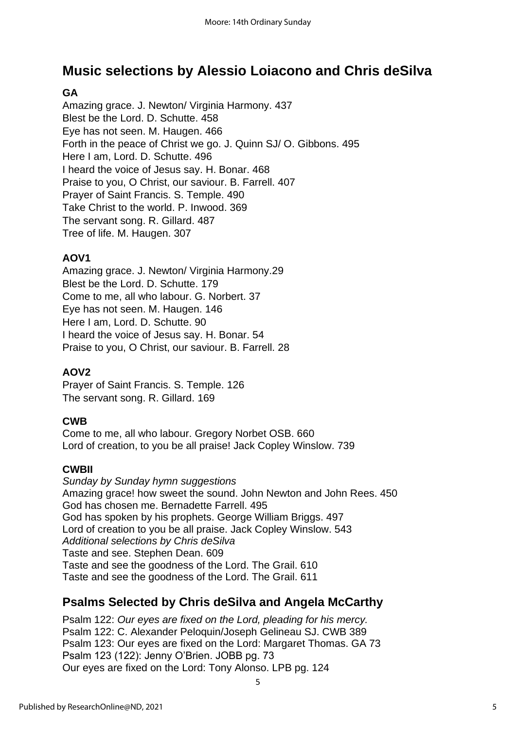## **Music selections by Alessio Loiacono and Chris deSilva**

#### **GA**

Amazing grace. J. Newton/ Virginia Harmony. 437 Blest be the Lord. D. Schutte. 458 Eye has not seen. M. Haugen. 466 Forth in the peace of Christ we go. J. Quinn SJ/ O. Gibbons. 495 Here I am, Lord. D. Schutte. 496 I heard the voice of Jesus say. H. Bonar. 468 Praise to you, O Christ, our saviour. B. Farrell. 407 Prayer of Saint Francis. S. Temple. 490 Take Christ to the world. P. Inwood. 369 The servant song. R. Gillard. 487 Tree of life. M. Haugen. 307

#### **AOV1**

Amazing grace. J. Newton/ Virginia Harmony.29 Blest be the Lord. D. Schutte. 179 Come to me, all who labour. G. Norbert. 37 Eye has not seen. M. Haugen. 146 Here I am, Lord. D. Schutte. 90 I heard the voice of Jesus say. H. Bonar. 54 Praise to you, O Christ, our saviour. B. Farrell. 28

#### **AOV2**

Prayer of Saint Francis. S. Temple. 126 The servant song. R. Gillard. 169

#### **CWB**

Come to me, all who labour. Gregory Norbet OSB. 660 Lord of creation, to you be all praise! Jack Copley Winslow. 739

#### **CWBII**

*Sunday by Sunday hymn suggestions* Amazing grace! how sweet the sound. John Newton and John Rees. 450 God has chosen me. Bernadette Farrell. 495 God has spoken by his prophets. George William Briggs. 497 Lord of creation to you be all praise. Jack Copley Winslow. 543 *Additional selections by Chris deSilva* Taste and see. Stephen Dean. 609 Taste and see the goodness of the Lord. The Grail. 610 Taste and see the goodness of the Lord. The Grail. 611

#### **Psalms Selected by Chris deSilva and Angela McCarthy**

Psalm 122: *Our eyes are fixed on the Lord, pleading for his mercy.* Psalm 122: C. Alexander Peloquin/Joseph Gelineau SJ. CWB 389 Psalm 123: Our eyes are fixed on the Lord: Margaret Thomas. GA 73 Psalm 123 (122): Jenny O'Brien. JOBB pg. 73 Our eyes are fixed on the Lord: Tony Alonso. LPB pg. 124